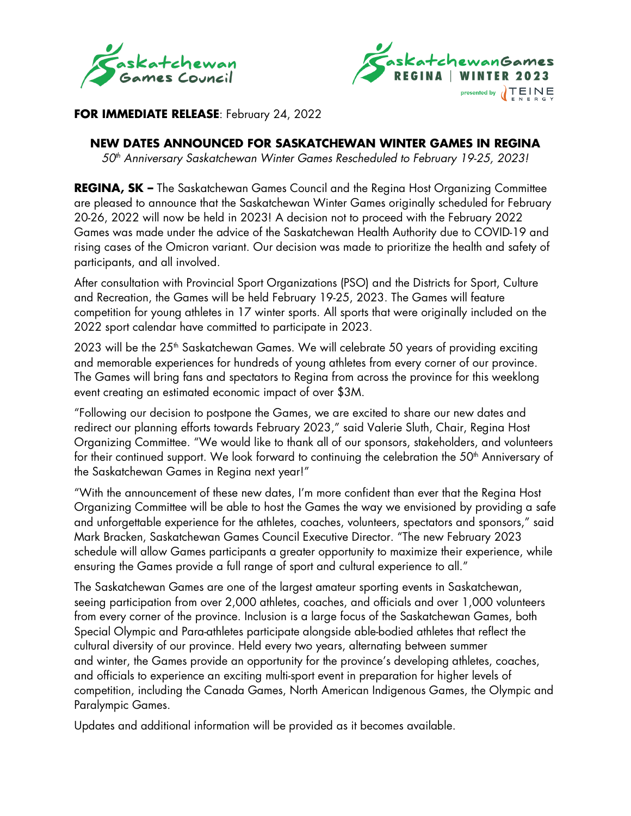



## **FOR IMMEDIATE RELEASE**: February 24, 2022

# **NEW DATES ANNOUNCED FOR SASKATCHEWAN WINTER GAMES IN REGINA**

*50th Anniversary Saskatchewan Winter Games Rescheduled to February 19-25, 2023!* 

**REGINA, SK –** The Saskatchewan Games Council and the Regina Host Organizing Committee are pleased to announce that the Saskatchewan Winter Games originally scheduled for February 20-26, 2022 will now be held in 2023! A decision not to proceed with the February 2022 Games was made under the advice of the Saskatchewan Health Authority due to COVID-19 and rising cases of the Omicron variant. Our decision was made to prioritize the health and safety of participants, and all involved.

After consultation with Provincial Sport Organizations (PSO) and the Districts for Sport, Culture and Recreation, the Games will be held February 19-25, 2023. The Games will feature competition for young athletes in 17 winter sports. All sports that were originally included on the 2022 sport calendar have committed to participate in 2023.

2023 will be the 25<sup>th</sup> Saskatchewan Games. We will celebrate 50 years of providing exciting and memorable experiences for hundreds of young athletes from every corner of our province. The Games will bring fans and spectators to Regina from across the province for this weeklong event creating an estimated economic impact of over \$3M.

"Following our decision to postpone the Games, we are excited to share our new dates and redirect our planning efforts towards February 2023," said Valerie Sluth, Chair, Regina Host Organizing Committee. "We would like to thank all of our sponsors, stakeholders, and volunteers for their continued support. We look forward to continuing the celebration the 50<sup>th</sup> Anniversary of the Saskatchewan Games in Regina next year!"

"With the announcement of these new dates, I'm more confident than ever that the Regina Host Organizing Committee will be able to host the Games the way we envisioned by providing a safe and unforgettable experience for the athletes, coaches, volunteers, spectators and sponsors," said Mark Bracken, Saskatchewan Games Council Executive Director. "The new February 2023 schedule will allow Games participants a greater opportunity to maximize their experience, while ensuring the Games provide a full range of sport and cultural experience to all."

The Saskatchewan Games are one of the largest amateur sporting events in Saskatchewan, seeing participation from over 2,000 athletes, coaches, and officials and over 1,000 volunteers from every corner of the province. Inclusion is a large focus of the Saskatchewan Games, both Special Olympic and Para-athletes participate alongside able-bodied athletes that reflect the cultural diversity of our province. Held every two years, alternating between summer and winter, the Games provide an opportunity for the province's developing athletes, coaches, and officials to experience an exciting multi-sport event in preparation for higher levels of competition, including the Canada Games, North American Indigenous Games, the Olympic and Paralympic Games.

Updates and additional information will be provided as it becomes available.